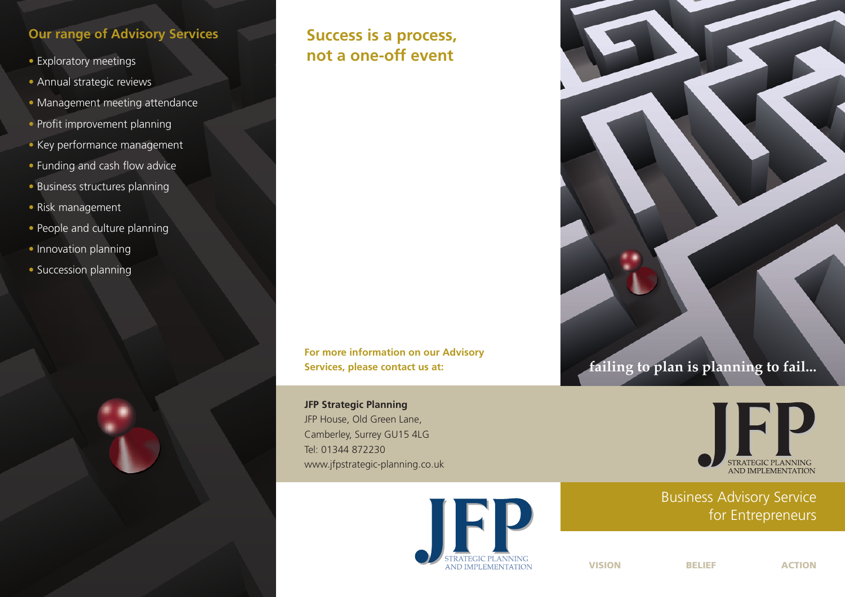## **Our range of Advisory Services**

- Exploratory meetings
- Annual strategic reviews
- Management meeting attendance
- $\bullet$  Profit improvement planning
- Key performance management
- Funding and cash flow advice
- Business structures planning
- Risk management
- People and culture planning
- Innovation planning
- Succession planning



# **Success is a process, not a one-off event**

**For more information on our Advisory Services, please contact us at:**

**JFP Strategic Planning** JFP House, Old Green Lane, Camberley, Surrey GU15 4LG Tel: 01344 872230 www.jfpstrategic-planning.co.uk







Business Advisory Service for Entrepreneurs

**VISION BELIEF ACTION**